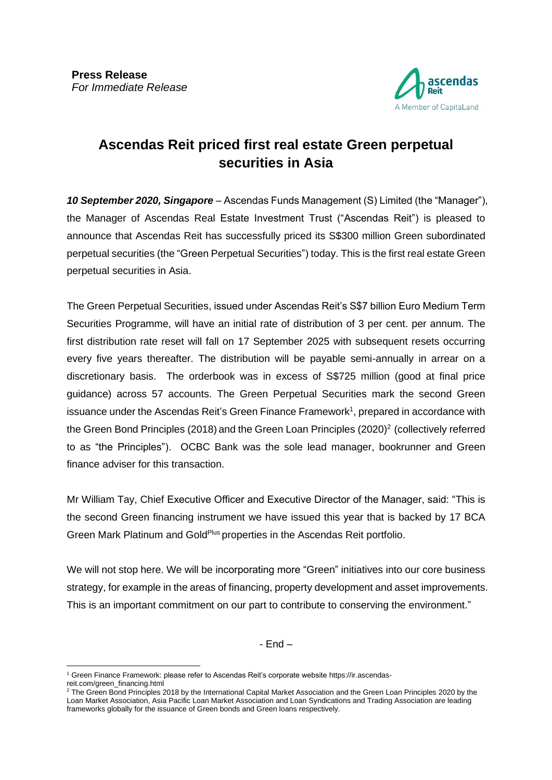

# **Ascendas Reit priced first real estate Green perpetual securities in Asia**

*10 September 2020, Singapore* – Ascendas Funds Management (S) Limited (the "Manager"), the Manager of Ascendas Real Estate Investment Trust ("Ascendas Reit") is pleased to announce that Ascendas Reit has successfully priced its S\$300 million Green subordinated perpetual securities (the "Green Perpetual Securities") today. This is the first real estate Green perpetual securities in Asia.

The Green Perpetual Securities, issued under Ascendas Reit's S\$7 billion Euro Medium Term Securities Programme, will have an initial rate of distribution of 3 per cent. per annum. The first distribution rate reset will fall on 17 September 2025 with subsequent resets occurring every five years thereafter. The distribution will be payable semi-annually in arrear on a discretionary basis. The orderbook was in excess of S\$725 million (good at final price guidance) across 57 accounts. The Green Perpetual Securities mark the second Green issuance under the Ascendas Reit's Green Finance Framework<sup>1</sup>, prepared in accordance with the Green Bond Principles (2018) and the Green Loan Principles (2020)<sup>2</sup> (collectively referred to as "the Principles"). OCBC Bank was the sole lead manager, bookrunner and Green finance adviser for this transaction.

Mr William Tay, Chief Executive Officer and Executive Director of the Manager, said: "This is the second Green financing instrument we have issued this year that is backed by 17 BCA Green Mark Platinum and Gold<sup>Plus</sup> properties in the Ascendas Reit portfolio.

We will not stop here. We will be incorporating more "Green" initiatives into our core business strategy, for example in the areas of financing, property development and asset improvements. This is an important commitment on our part to contribute to conserving the environment."

- End –

<sup>1</sup> Green Finance Framework: please refer to Ascendas Reit's corporate website https://ir.ascendasreit.com/green\_financing.html

 $2$  The Green Bond Principles 2018 by the International Capital Market Association and the Green Loan Principles 2020 by the Loan Market Association, Asia Pacific Loan Market Association and Loan Syndications and Trading Association are leading frameworks globally for the issuance of Green bonds and Green loans respectively.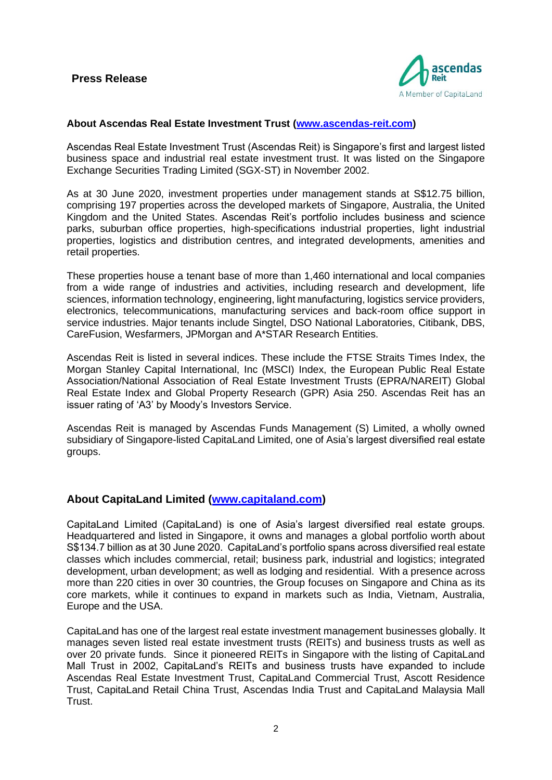

### **About Ascendas Real Estate Investment Trust [\(www.ascendas-reit.com\)](file://///Ascnas02/streits01/06_InvestorRelation/02_Public/Results%20announcement_WIP/Qtr%20ended%2030%20Jun%202019/www.ascendas-reit.com)**

Ascendas Real Estate Investment Trust (Ascendas Reit) is Singapore's first and largest listed business space and industrial real estate investment trust. It was listed on the Singapore Exchange Securities Trading Limited (SGX-ST) in November 2002.

As at 30 June 2020, investment properties under management stands at S\$12.75 billion, comprising 197 properties across the developed markets of Singapore, Australia, the United Kingdom and the United States. Ascendas Reit's portfolio includes business and science parks, suburban office properties, high-specifications industrial properties, light industrial properties, logistics and distribution centres, and integrated developments, amenities and retail properties.

These properties house a tenant base of more than 1,460 international and local companies from a wide range of industries and activities, including research and development, life sciences, information technology, engineering, light manufacturing, logistics service providers, electronics, telecommunications, manufacturing services and back-room office support in service industries. Major tenants include Singtel, DSO National Laboratories, Citibank, DBS, CareFusion, Wesfarmers, JPMorgan and A\*STAR Research Entities.

Ascendas Reit is listed in several indices. These include the FTSE Straits Times Index, the Morgan Stanley Capital International, Inc (MSCI) Index, the European Public Real Estate Association/National Association of Real Estate Investment Trusts (EPRA/NAREIT) Global Real Estate Index and Global Property Research (GPR) Asia 250. Ascendas Reit has an issuer rating of 'A3' by Moody's Investors Service.

Ascendas Reit is managed by Ascendas Funds Management (S) Limited, a wholly owned subsidiary of Singapore-listed CapitaLand Limited, one of Asia's largest diversified real estate groups.

## **About CapitaLand Limited [\(www.capitaland.com\)](http://www.capitaland.com/)**

CapitaLand Limited (CapitaLand) is one of Asia's largest diversified real estate groups. Headquartered and listed in Singapore, it owns and manages a global portfolio worth about S\$134.7 billion as at 30 June 2020. CapitaLand's portfolio spans across diversified real estate classes which includes commercial, retail; business park, industrial and logistics; integrated development, urban development; as well as lodging and residential. With a presence across more than 220 cities in over 30 countries, the Group focuses on Singapore and China as its core markets, while it continues to expand in markets such as India, Vietnam, Australia, Europe and the USA.

CapitaLand has one of the largest real estate investment management businesses globally. It manages seven listed real estate investment trusts (REITs) and business trusts as well as over 20 private funds. Since it pioneered REITs in Singapore with the listing of CapitaLand Mall Trust in 2002, CapitaLand's REITs and business trusts have expanded to include Ascendas Real Estate Investment Trust, CapitaLand Commercial Trust, Ascott Residence Trust, CapitaLand Retail China Trust, Ascendas India Trust and CapitaLand Malaysia Mall Trust.